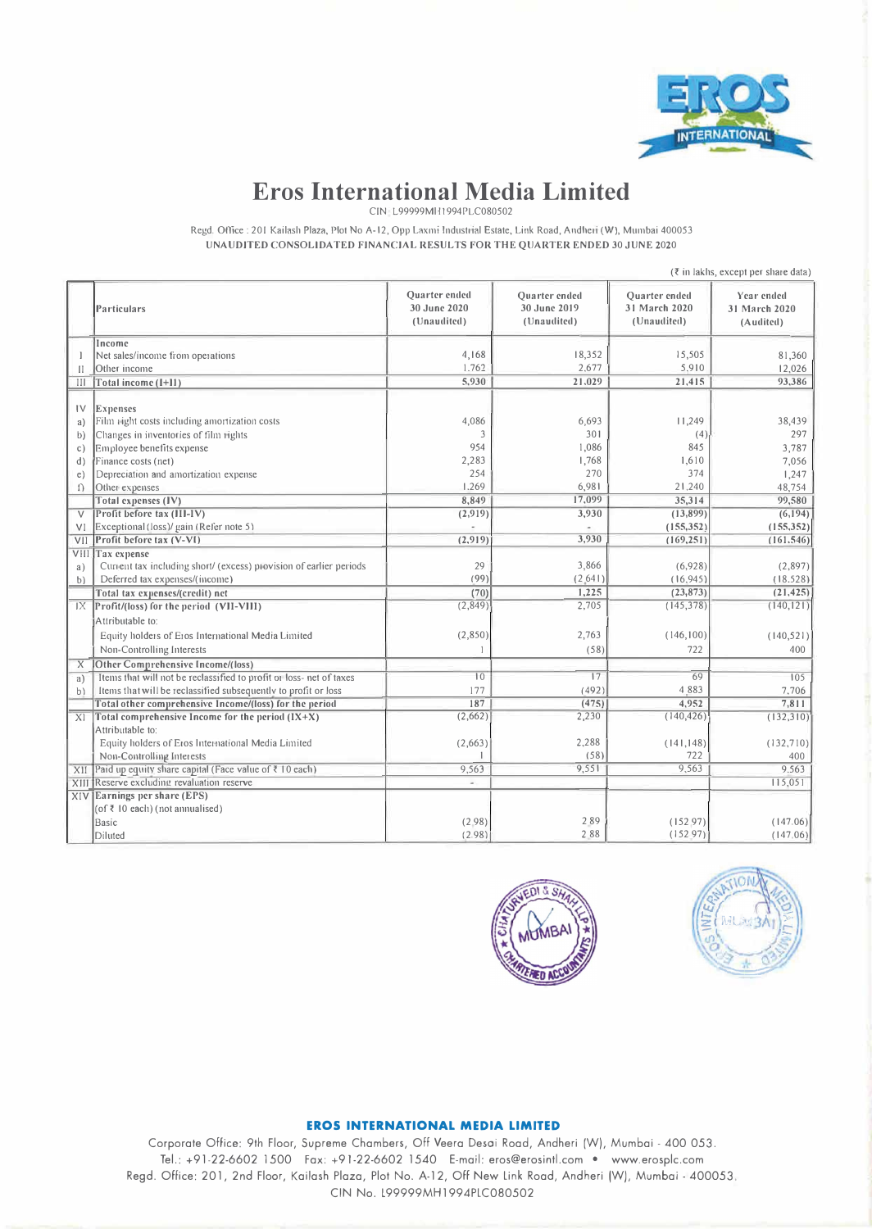

# **Eros International Media Limited**

CIN L99999Mll 1994PLC080502

Regd, Office: 201 Kailash Plaza, Plot No A-12, Opp Laxmi Industrial Estate, Link Road, Andheri (W), Mumbai 400053 UNAUDITED CONSOLIDATED FINANCIAL RESULTS FOR THE QUARTER ENDED 30 JUNE 2020

|                | $(\bar{\tau}$ in lakhs, except per share data)                      |                                                     |                                                     |                                                      |                                          |
|----------------|---------------------------------------------------------------------|-----------------------------------------------------|-----------------------------------------------------|------------------------------------------------------|------------------------------------------|
|                | <b>Particulars</b>                                                  | <b>Ouarter</b> ended<br>30 June 2020<br>(Unaudited) | <b>Ouarter</b> ended<br>30 June 2019<br>(Unaudited) | <b>Ouarter</b> ended<br>31 March 2020<br>(Unaudited) | Year ended<br>31 March 2020<br>(Audited) |
|                | Income                                                              |                                                     |                                                     |                                                      |                                          |
|                | Net sales/income from operations                                    | 4,168                                               | 18,352                                              | 15,505                                               | 81,360                                   |
| $\mathbf{II}$  | Other income                                                        | 1.762                                               | 2,677                                               | 5,910                                                | 12,026                                   |
| Ш              | Total income (I+11)                                                 | 5,930                                               | 21,029                                              | 21,415                                               | 93,386                                   |
| $\mathsf{IV}$  | Expenses                                                            |                                                     |                                                     |                                                      |                                          |
| a)             | Film right costs including amortization costs                       | 4,086                                               | 6,693                                               | 11,249                                               | 38,439                                   |
| b)             | Changes in inventories of film rights                               | 3                                                   | 301                                                 | (4)                                                  | 297                                      |
| $\mathbb{C}$ ) | Employee benefits expense                                           | 954                                                 | 1,086                                               | 845                                                  | 3,787                                    |
| d)             | Finance costs (net)                                                 | 2,283                                               | 1,768                                               | 1,610                                                | 7,056                                    |
| e)             | Depreciation and amortization expense                               | 254                                                 | 270                                                 | 374                                                  | 1,247                                    |
| $\Omega$       | Other expenses                                                      | 1.269                                               | 6,981                                               | 21,240                                               | 48,754                                   |
|                | Total expenses (IV)                                                 | 8,849                                               | 17,099                                              | 35,314                                               | 99,580                                   |
| $\vee$         | Profit before tax (III-IV)                                          | (2,919)                                             | 3,930                                               | (13,899)                                             | (6, 194)                                 |
| VI             | Exceptional (loss)/ gain (Refer note 5)                             |                                                     |                                                     | (155, 352)                                           | (155, 352)                               |
| VII            | Profit before tax (V-VI)                                            | (2, 919)                                            | 3,930                                               | (169, 251)                                           | (161.546)                                |
| VIII           | Tax expense                                                         |                                                     |                                                     |                                                      |                                          |
| a)             | Current tax including short/ (excess) provision of earlier periods  | 29                                                  | 3,866                                               | (6,928)                                              | (2,897)                                  |
| b)             | Deferred tax expenses/(income)                                      | (99)                                                | (2.641)                                             | (16.945)                                             | (18.528)                                 |
|                | Total tax expenses/(credit) net                                     | (70)                                                | 1,225                                               | (23, 873)                                            | (21, 425)                                |
| IX             | Profit/(loss) for the period (VII-VIII)                             | (2,849)                                             | 2,705                                               | (145, 378)                                           | (140, 121)                               |
|                | Attributable to:                                                    |                                                     |                                                     |                                                      |                                          |
|                | Equity holders of Eros International Media Limited                  | (2,850)                                             | 2,763                                               | (146, 100)                                           | (140, 521)                               |
|                | Non-Controlling Interests                                           |                                                     | (58)                                                | 722                                                  | 400                                      |
| X              | <b>Other Comprehensive Income/(loss)</b>                            |                                                     |                                                     |                                                      |                                          |
| a)             | Items that will not be reclassified to profit or loss- net of taxes | 10                                                  | 17                                                  | 69                                                   | 105                                      |
| b)             | Items that will be reclassified subsequently to profit or loss      | 177                                                 | (492)                                               | 4.883                                                | 7,706                                    |
|                | Total other comprehensive Income/(loss) for the period              | 187                                                 | (475)                                               | 4,952                                                | 7,811                                    |
| X              | Total comprehensive Income for the period $(IX+X)$                  | (2,662)                                             | 2,230                                               | (140, 426)                                           | (132,310)                                |
|                | Attributable to:                                                    |                                                     |                                                     |                                                      |                                          |
|                | Equity holders of Eros International Media Limited                  | (2,663)                                             | 2,288                                               | (141, 148)                                           | (132,710)                                |
|                | Non-Controlling Interests                                           |                                                     | (58)                                                | 722                                                  | 400                                      |
| XII            | Paid up equity share capital (Face value of ₹ 10 each)              | 9,563                                               | 9,551                                               | 9,563                                                | 9,563                                    |
|                | XIII Reserve excluding revaluation reserve                          |                                                     |                                                     |                                                      | 115,051                                  |
|                | $X[V]$ Earnings per share (EPS)                                     |                                                     |                                                     |                                                      |                                          |
|                | (of ₹ 10 each) (not annualised)                                     |                                                     |                                                     |                                                      |                                          |
|                | <b>Basic</b>                                                        | (2.98)                                              | 289                                                 | (152.97)                                             | (147.06)                                 |
|                | Diluted                                                             | (2.98)                                              | 288                                                 | (152.97)                                             | (147.06)                                 |





#### **EROS INTERNATIONAL MEDIA LIMITED**

Corporate Office: 9th Floor, Supreme Chambers, Off Veera Desai Road, Andheri (W), Mumbai - 400 053. Tel.: +91-22-6602 1500 Fax: +91-22-6602 1540 E-mail: eros@erosintl.com • www.erosplc.com Regd. Office: 201, 2nd Floor, Kailash Plaza, Plot No. A-12, Off New Link Road, Andheri (W), Mumbai - 400053. CIN No. L99999MH1994PLC080502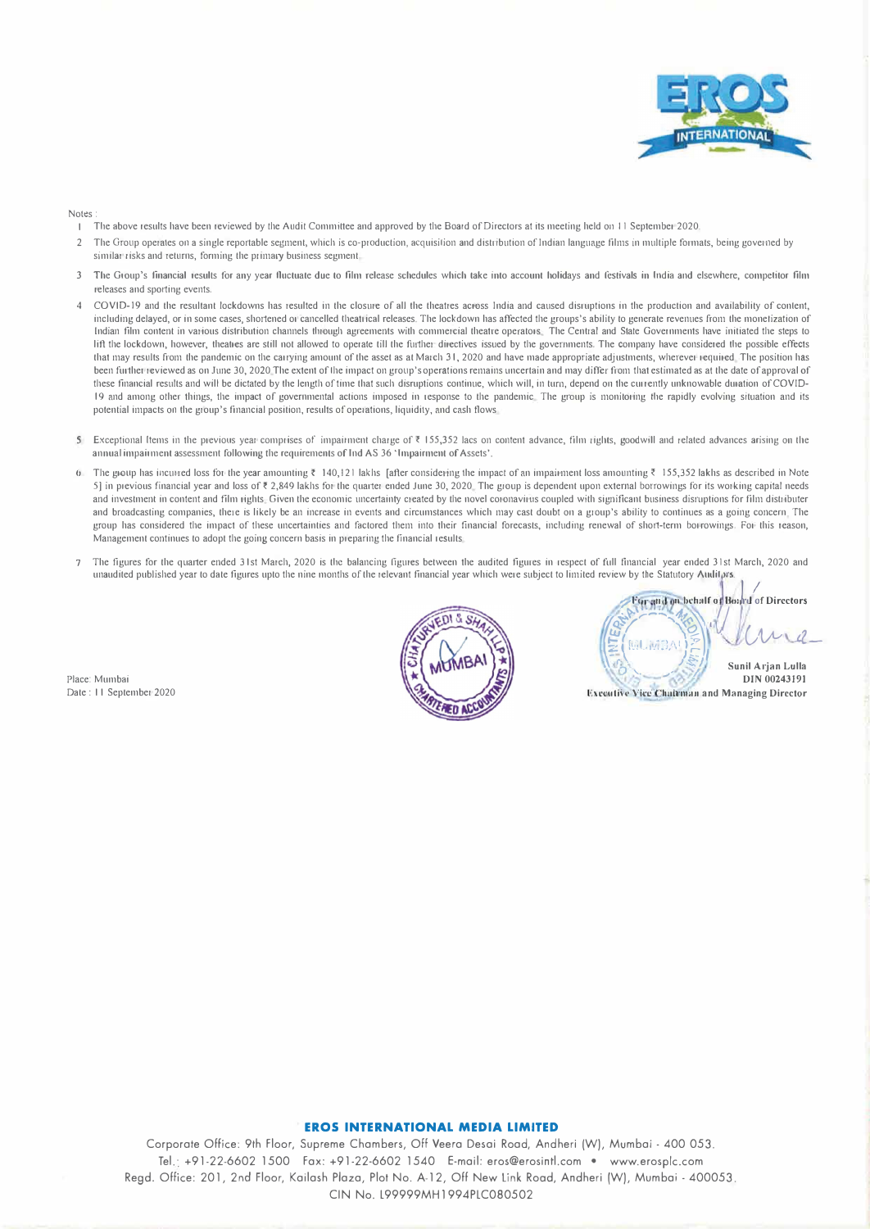

#### Notes

- The above results have been reviewed by the Audit Committee and approved by the Board of Directors at its meeting held on 11 September 2020.
- 2 The Group operates on a single reportable segment, which is co-production, acquisition and distribution of Indian language films in multiple formats, being governed by similar risks and returns, forming the primary business segment.
- 3 The Group's financial results for any year fluctuate due to film release schedules which take into account holidays and festivals in India and elsewhere, competitor film releases and sporting events.
- 4 COVI0-19 and the resullant lockdowns has resulted in the closure of all lhe theatres across India and caused disruptions in the production and availability of conlent, including delayed, or in some cases, shortened or cancelled theatrical releases. The lockdown has affected the groups's ability to generate revenues from the monetization of Indian film content in various distribution channels through agreements with commercial theatre operators. The Central and State Governments have initiated the steps to lift the lockdown, however, theatres are still not allowed to operate till the further directives issued by the governments. The company have considered the possible effects that may results from the pandemic on the carrying amount of the asset as at March 31, 2020 and have made appropriate adjustments, wherever required. The position has been further reviewed as on June 30, 2020 The extent of the impact on group's operations remains uncertain and may differ from that estimated as at the date of approval of these financial results and will be dictated by lhe length of time that such disruptions continue, which will, in turn, depend 011 the currently unknowable duration ofCOVID-19 and among other things, the impact of governmental actions imposed in l'esponse to the pandemic The group is monitoring lhe rapidly evolving situation and its potential impacts on the group's financial position, results of operations, liquidity, and cash flows
- 5 Exceptional Items in the previous year comprises of impairment charge of ₹ 155,352 lacs on content advance, film rights, goodwill and related advances arising on the annual impairment assessment following the requirements of Ind AS 36 'Impairment of Assets'.
- The group has incurred loss for the year amounting  $\bar{\tau}$  140,121 lakhs [after considering the impact of an impairment loss amounting  $\bar{\tau}$  155,352 lakhs as described in Note 5] in previous financial year and loss of ₹2,849 lakhs for the quarter ended June 30, 2020. The group is dependent upon external borrowings for its working capital needs and investment in content and film rights. Given the economic uncertainty created by the novel coronavirus coupled with significant business disruptions for film distributer and broadcasting companies, there is likely be an increase in events and circumstances which may cast doubt on a group's ability to continues as a going concern. The group has considered the impact of these uncertainties and factored them into their financial forecasts, including renewal of short-term borrowings. For this reason, Management continues to adopt the going concern basis in preparing the financial results.
- 7 The figures for the quarter ended 31st March, 2020 is the balancing figures between the audited figures in respect of full financial year ended 31st March, 2020 and unaudited published year to date figures upto the nine months of the relevant financial year which were subject to limited review by the Statutory Audityrs.

Place: Mumbai



**Far and on-behalf of Board of Directors**<br> **MUMBALE:** , '- \_,. *1* **Sunil Arjan Lulla DIN 00243191 Executive Vice Chairman and Managing Director** 

#### **EROS INTERNATIONAL MEDIA LIMITED**

Corporate Office: 9th Floor, Supreme Chambers, Off Veera Desai Road, Andheri (W), Mumbai - 400 053. Tel.· +91-22-6602 1500 Fax: +91-22-6602 1540 E-mail: eros@erosintl.com • www.erosplc.com Regd. Office: 201, 2nd Floor, Kailash Plaza, Plot No. A-12, Off New Link Road, Andheri (W), Mumbai - 400053. CIN No. L99999MH1994PLC080502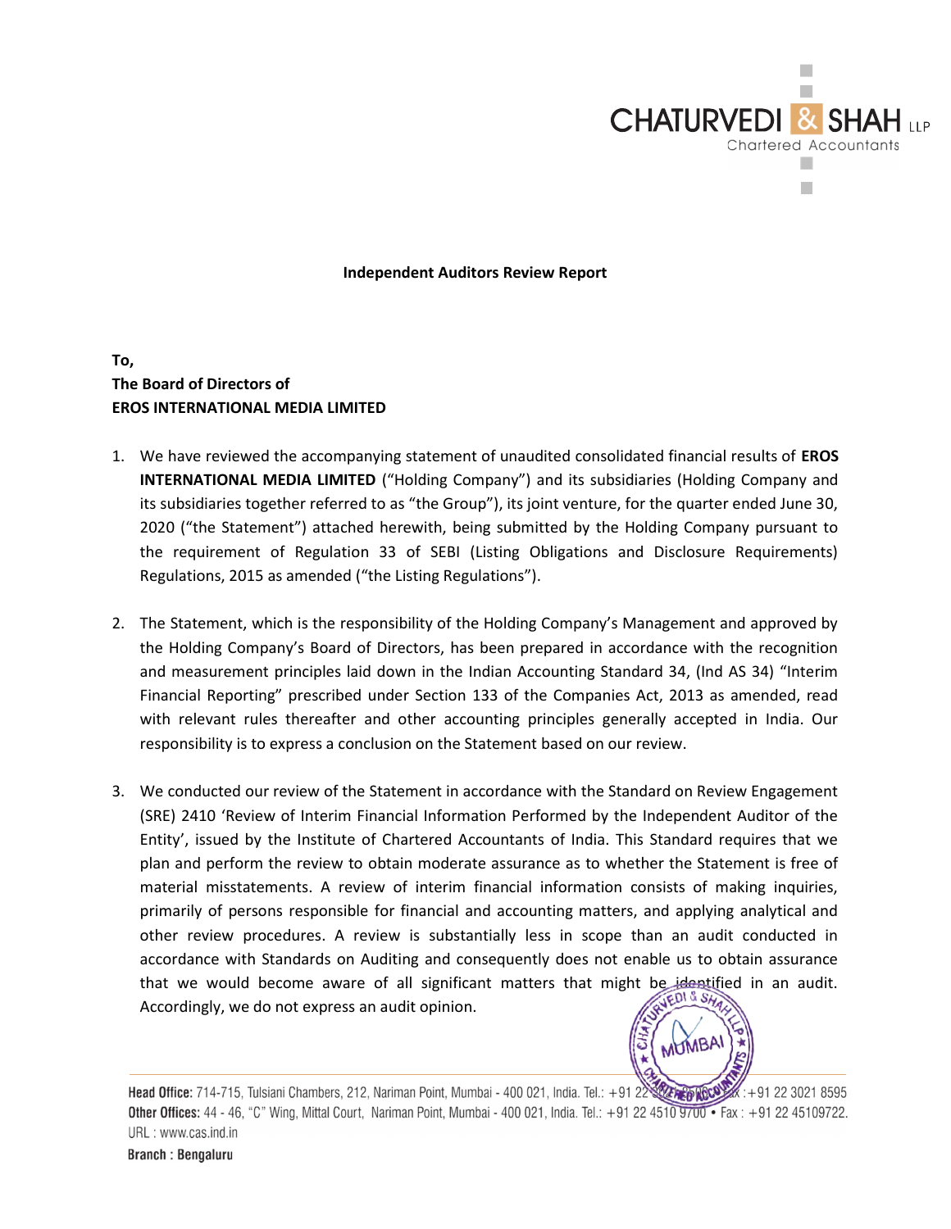

### Independent Auditors Review Report

## To, The Board of Directors of EROS INTERNATIONAL MEDIA LIMITED

- 1. We have reviewed the accompanying statement of unaudited consolidated financial results of EROS INTERNATIONAL MEDIA LIMITED ("Holding Company") and its subsidiaries (Holding Company and its subsidiaries together referred to as "the Group"), its joint venture, for the quarter ended June 30, 2020 ("the Statement") attached herewith, being submitted by the Holding Company pursuant to the requirement of Regulation 33 of SEBI (Listing Obligations and Disclosure Requirements) Regulations, 2015 as amended ("the Listing Regulations").
- 2. The Statement, which is the responsibility of the Holding Company's Management and approved by the Holding Company's Board of Directors, has been prepared in accordance with the recognition and measurement principles laid down in the Indian Accounting Standard 34, (Ind AS 34) "Interim Financial Reporting" prescribed under Section 133 of the Companies Act, 2013 as amended, read with relevant rules thereafter and other accounting principles generally accepted in India. Our responsibility is to express a conclusion on the Statement based on our review.
- 3. We conducted our review of the Statement in accordance with the Standard on Review Engagement (SRE) 2410 'Review of Interim Financial Information Performed by the Independent Auditor of the Entity', issued by the Institute of Chartered Accountants of India. This Standard requires that we plan and perform the review to obtain moderate assurance as to whether the Statement is free of material misstatements. A review of interim financial information consists of making inquiries, primarily of persons responsible for financial and accounting matters, and applying analytical and other review procedures. A review is substantially less in scope than an audit conducted in accordance with Standards on Auditing and consequently does not enable us to obtain assurance that we would become aware of all significant matters that might be identified in an audit. Accordingly, we do not express an audit opinion.



Head Office: 714-715, Tulsiani Chambers, 212, Nariman Point, Mumbai - 400 021, India. Tel.: +91 22  $x: +912230218595$ Other Offices: 44 - 46, "C" Wing, Mittal Court, Nariman Point, Mumbai - 400 021, India. Tel.: +91 22 4510 9700 • Fax: +91 22 45109722. URL: www.cas.ind.in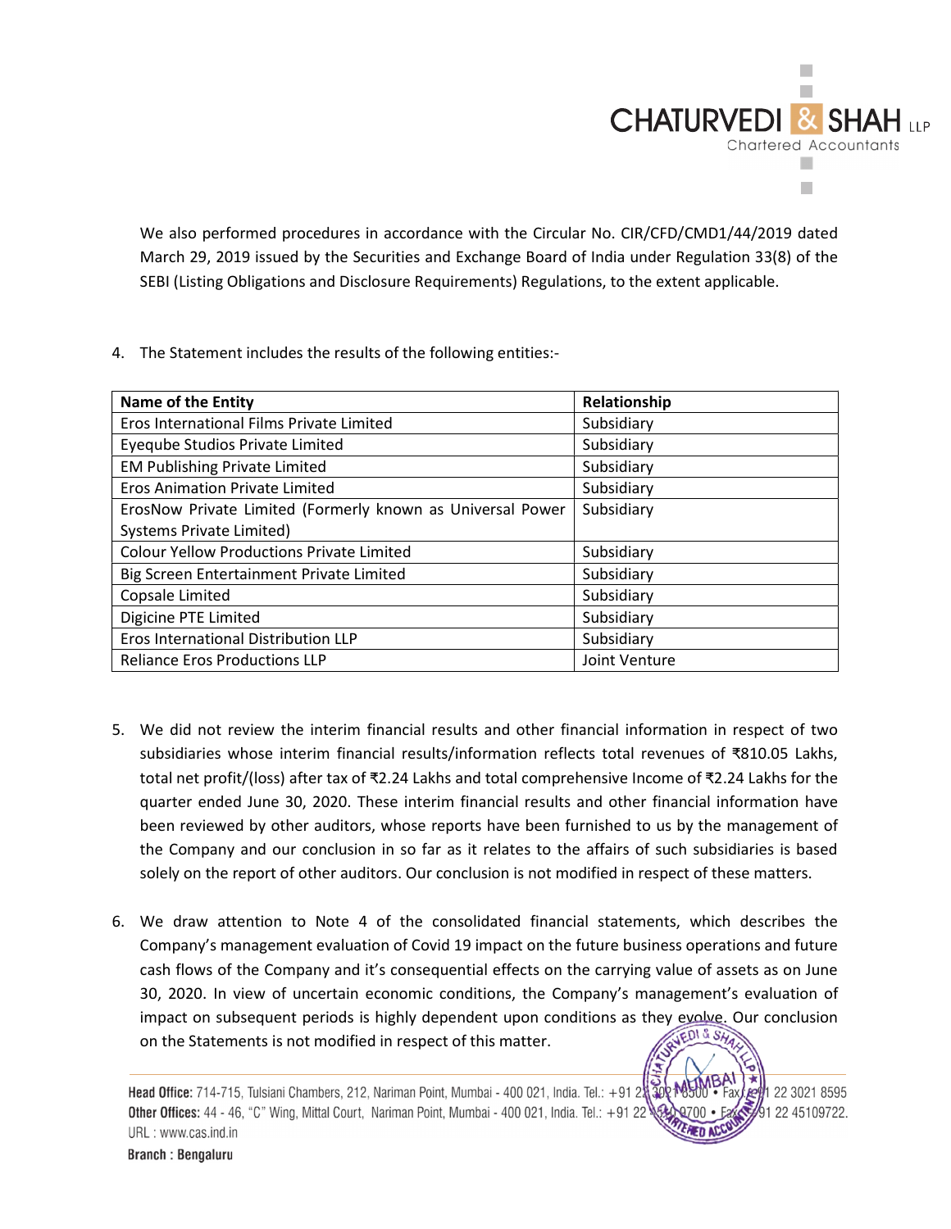

We also performed procedures in accordance with the Circular No. CIR/CFD/CMD1/44/2019 dated March 29, 2019 issued by the Securities and Exchange Board of India under Regulation 33(8) of the SEBI (Listing Obligations and Disclosure Requirements) Regulations, to the extent applicable.

4. The Statement includes the results of the following entities:-

| <b>Name of the Entity</b>                                  | Relationship  |
|------------------------------------------------------------|---------------|
| Eros International Films Private Limited                   | Subsidiary    |
| Eyeqube Studios Private Limited                            | Subsidiary    |
| <b>EM Publishing Private Limited</b>                       | Subsidiary    |
| <b>Eros Animation Private Limited</b>                      | Subsidiary    |
| ErosNow Private Limited (Formerly known as Universal Power | Subsidiary    |
| Systems Private Limited)                                   |               |
| <b>Colour Yellow Productions Private Limited</b>           | Subsidiary    |
| Big Screen Entertainment Private Limited                   | Subsidiary    |
| Copsale Limited                                            | Subsidiary    |
| Digicine PTE Limited                                       | Subsidiary    |
| Eros International Distribution LLP                        | Subsidiary    |
| <b>Reliance Eros Productions LLP</b>                       | Joint Venture |

- 5. We did not review the interim financial results and other financial information in respect of two subsidiaries whose interim financial results/information reflects total revenues of ₹810.05 Lakhs, total net profit/(loss) after tax of ₹2.24 Lakhs and total comprehensive Income of ₹2.24 Lakhs for the quarter ended June 30, 2020. These interim financial results and other financial information have been reviewed by other auditors, whose reports have been furnished to us by the management of the Company and our conclusion in so far as it relates to the affairs of such subsidiaries is based solely on the report of other auditors. Our conclusion is not modified in respect of these matters.
- 6. We draw attention to Note 4 of the consolidated financial statements, which describes the Company's management evaluation of Covid 19 impact on the future business operations and future cash flows of the Company and it's consequential effects on the carrying value of assets as on June 30, 2020. In view of uncertain economic conditions, the Company's management's evaluation of impact on subsequent periods is highly dependent upon conditions as they evolve. Our conclusion<br>on the Statements is not modified in respect of this matter. on the Statements is not modified in respect of this matter.

Head Office: 714-715, Tulsiani Chambers, 212, Nariman Point, Mumbai - 400 021, India. Tel.: +91 2 1 22 3021 8595 Other Offices: 44 - 46, "C" Wing, Mittal Court, Nariman Point, Mumbai - 400 021, India. Tel.: +91 22 91 22 45109722. URL: www.cas.ind.in